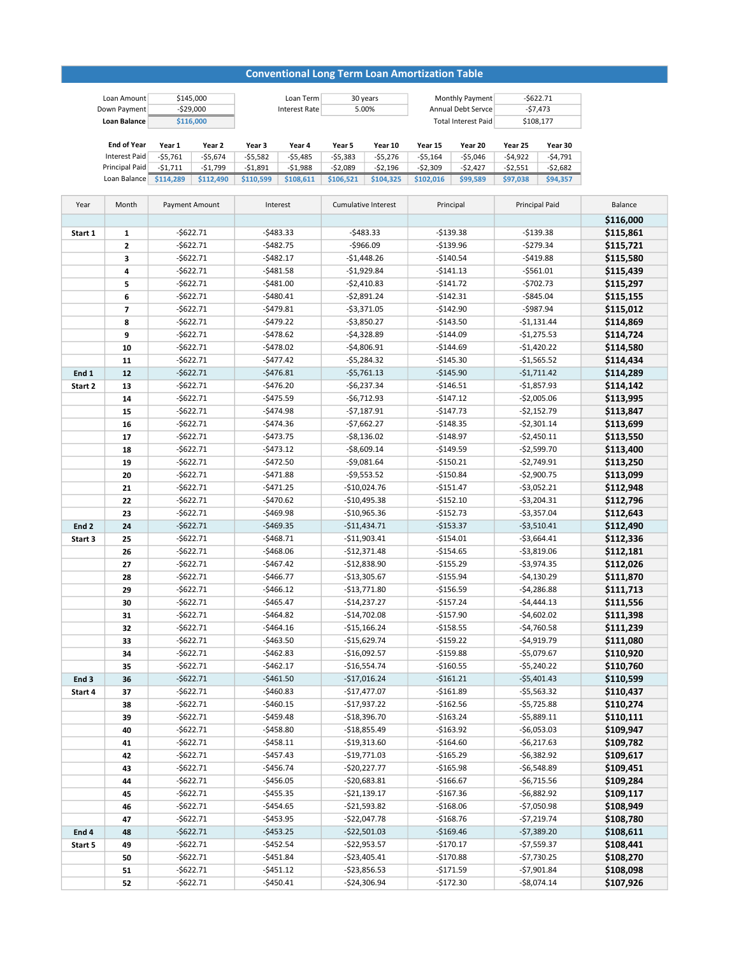## Conventional Long Term Loan Amortization Table

| Loan Amount           | \$145,000  |           |           | Loan Term            | 30 years  |           | Monthly Payment            |           | $-5622.71$ |           |
|-----------------------|------------|-----------|-----------|----------------------|-----------|-----------|----------------------------|-----------|------------|-----------|
| Down Payment          | $-529.000$ |           |           | <b>Interest Rate</b> | 5.00%     |           | Annual Debt Servce         |           | -\$7,473   |           |
| <b>Loan Balance</b>   | \$116,000  |           |           |                      |           |           | <b>Total Interest Paid</b> |           | \$108,177  |           |
|                       |            |           |           |                      |           |           |                            |           |            |           |
| <b>End of Year</b>    | Year 1     | Year 2    | Year 3    | Year 4               | Year 5    | Year 10   | Year 15                    | Year 20   | Year 25    | Year 30   |
| Interest Paid         | $-55.761$  | -\$5.674  | $-55.582$ | -\$5,485             | $-55,383$ | $-55.276$ | $-55.164$                  | $-55,046$ | $-54.922$  | $-54,791$ |
| <b>Principal Paid</b> | $-51,711$  | -\$1,799  | -\$1,891  | $-51,988$            | $-52,089$ | $-52,196$ | $-52,309$                  | -\$2,427  | $-52,551$  | $-52,682$ |
| Loan Balance          | \$114.289  | \$112.490 | \$110.599 | \$108,611            | \$106,521 | \$104,325 | \$102,016                  | \$99,589  | \$97,038   | \$94,357  |

| Year             | Month        | Payment Amount | Interest   | <b>Cumulative Interest</b> | Principal  | Principal Paid | Balance   |
|------------------|--------------|----------------|------------|----------------------------|------------|----------------|-----------|
|                  |              |                |            |                            |            |                | \$116,000 |
| Start 1          | 1            | $-$622.71$     | $-5483.33$ | $-5483.33$                 | $-$139.38$ | $-$139.38$     | \$115,861 |
|                  | $\mathbf{2}$ | $-$622.71$     | $-5482.75$ | $-$966.09$                 | $-$139.96$ | $-$279.34$     | \$115,721 |
|                  | 3            | $-$622.71$     | $-5482.17$ | $-$1,448.26$               | $-$140.54$ | $-5419.88$     | \$115,580 |
|                  | 4            | $-5622.71$     | $-5481.58$ | $-$1,929.84$               | $-$141.13$ | $-5561.01$     | \$115,439 |
|                  | 5            | $-$622.71$     | $-5481.00$ | $-52,410.83$               | $-5141.72$ | $-5702.73$     | \$115,297 |
|                  | 6            | $-$622.71$     | $-$480.41$ | $-52,891.24$               | $-$142.31$ | $-$845.04$     | \$115,155 |
|                  | 7            | $-5622.71$     | $-5479.81$ | $-53,371.05$               | $-$142.90$ | $-5987.94$     | \$115,012 |
|                  | 8            | $-5622.71$     | $-5479.22$ | $-53,850.27$               | $-$143.50$ | $-$1,131.44$   | \$114,869 |
|                  | 9            | $-5622.71$     | $-5478.62$ | $-$4,328.89$               | $-$144.09$ | $-$1,275.53$   | \$114,724 |
|                  | 10           | $-5622.71$     | $-5478.02$ | $-$4,806.91$               | $-$144.69$ | $-$1,420.22$   | \$114,580 |
|                  | 11           | $-$622.71$     | $-5477.42$ | $-55,284.32$               | $-$145.30$ | $-$1,565.52$   | \$114,434 |
| End 1            | 12           | $-5622.71$     | $-5476.81$ | $-55,761.13$               | $-$145.90$ | $-$1,711.42$   | \$114,289 |
| Start 2          | 13           | $-5622.71$     | $-$476.20$ | $-56,237.34$               | $-$146.51$ | $-$1,857.93$   | \$114,142 |
|                  | 14           | $-$622.71$     | $-$475.59$ | $-56,712.93$               | $-$147.12$ | $-$2,005.06$   | \$113,995 |
|                  | 15           | $-$622.71$     | $-5474.98$ | $-57,187.91$               | $-$147.73$ | $-$2,152.79$   | \$113,847 |
|                  | 16           | $-$622.71$     | $-5474.36$ | $-57,662.27$               | $-$148.35$ | $-$2,301.14$   | \$113,699 |
|                  | 17           | $-$622.71$     | $-5473.75$ | $-58,136.02$               | $-$148.97$ | $-52,450.11$   | \$113,550 |
|                  | 18           | $-$622.71$     | $-5473.12$ | $-58,609.14$               | $-$149.59$ | $-52,599.70$   | \$113,400 |
|                  | 19           | $-5622.71$     | $-$472.50$ | $-59,081.64$               | $-$150.21$ | $-$2,749.91$   | \$113,250 |
|                  | 20           | $-5622.71$     | $-5471.88$ | $-59,553.52$               | $-$150.84$ | $-52,900.75$   | \$113,099 |
|                  | 21           | $-$622.71$     | $-5471.25$ | $-$10,024.76$              | $-$151.47$ | $-$3,052.21$   | \$112,948 |
|                  | 22           | $-5622.71$     | $-5470.62$ | $-$10,495.38$              | $-$152.10$ | $-53,204.31$   | \$112,796 |
|                  | 23           | $-$622.71$     | $-$469.98$ | $-$10,965.36$              | $-$152.73$ | $-$3,357.04$   | \$112,643 |
| End <sub>2</sub> | 24           | $-$622.71$     | $-$469.35$ | $-$11,434.71$              | $-$153.37$ | $-$3,510.41$   | \$112,490 |
| Start 3          | 25           | $-5622.71$     | $-5468.71$ | $-$11,903.41$              | $-$154.01$ | $-$3,664.41$   | \$112,336 |
|                  | 26           | $-$622.71$     | $-5468.06$ | $-$12,371.48$              | $-$154.65$ | $-$3,819.06$   | \$112,181 |
|                  | 27           | $-$622.71$     | $-$467.42$ | $-$12,838.90$              | $-$155.29$ | $-$3,974.35$   | \$112,026 |
|                  | 28           | $-$622.71$     | $-$466.77$ | $-$13,305.67$              | $-$155.94$ | $-$4,130.29$   | \$111,870 |
|                  | 29           | $-5622.71$     | $-5466.12$ | $-$13,771.80$              | $-$156.59$ | $-$4,286.88$   | \$111,713 |
|                  | 30           | $-5622.71$     | $-$465.47$ | $-$14,237.27$              | $-$157.24$ | $-$4,444.13$   | \$111,556 |
|                  | 31           | $-$622.71$     | $-5464.82$ | $-$14,702.08$              | $-$157.90$ | $-$4,602.02$   | \$111,398 |
|                  | 32           | $-5622.71$     | $-$464.16$ | $-$15,166.24$              | $-$158.55$ | $-$4,760.58$   | \$111,239 |
|                  | 33           | $-5622.71$     | $-$463.50$ | $-$15,629.74$              | $-$159.22$ | $-$4,919.79$   | \$111,080 |
|                  | 34           | $-$622.71$     | $-5462.83$ | $-$16,092.57$              | $-$159.88$ | $-$5,079.67$   | \$110,920 |
|                  | 35           | $-5622.71$     | $-5462.17$ | $-$16,554.74$              | $-$160.55$ | $-$5,240.22$   | \$110,760 |
| End <sub>3</sub> | 36           | $-$622.71$     | $-$461.50$ | $-517,016.24$              | $-$161.21$ | $-$5,401.43$   | \$110,599 |
| Start 4          | 37           | $-5622.71$     | $-$460.83$ | $-$17,477.07$              | $-$161.89$ | $-$5,563.32$   | \$110,437 |
|                  | 38           | $-5622.71$     | $-$460.15$ | $-$17,937.22$              | $-$162.56$ | $-$5,725.88$   | \$110,274 |
|                  | 39           | $-$622.71$     | $-$459.48$ | $-$18,396.70$              | $-$163.24$ | $-55,889.11$   | \$110,111 |
|                  | 40           | $-5622.71$     | $-$458.80$ | $-$18,855.49$              | $-5163.92$ | $-56,053.03$   | \$109,947 |
|                  | 41           | $-5622.71$     | -\$458.11  | -\$19,313.60               | -\$164.60  | -\$6,217.63    | \$109,782 |
|                  | 42           | $-$622.71$     | $-$457.43$ | -\$19,771.03               | $-$165.29$ | $-$6,382.92$   | \$109,617 |
|                  | 43           | $-$622.71$     | $-$456.74$ | $-$20,227.77$              | $-$165.98$ | $-56,548.89$   | \$109,451 |
|                  | 44           | $-$ \$622.71   | $-$456.05$ | $-$20,683.81$              | $-$166.67$ | $-$6,715.56$   | \$109,284 |
|                  | 45           | $-5622.71$     | $-$455.35$ | $-$ \$21,139.17            | $-$167.36$ | $-$6,882.92$   | \$109,117 |
|                  | 46           | $-$622.71$     | $-$454.65$ | $-$ \$21,593.82            | $-$168.06$ | $-$7,050.98$   | \$108,949 |
|                  | 47           | $-$ \$622.71   | $-$453.95$ | $-$22,047.78$              | $-$168.76$ | $-57,219.74$   | \$108,780 |
| End 4            | 48           | $-5622.71$     | $-$453.25$ | $-$22,501.03$              | $-$169.46$ | $-57,389.20$   | \$108,611 |
| Start 5          | 49           | $-$ \$622.71   | $-$452.54$ | $-$ \$22,953.57            | $-5170.17$ | $-$7,559.37$   | \$108,441 |
|                  | 50           | $-$ \$622.71   | $-5451.84$ | $-$23,405.41$              | $-5170.88$ | $-57,730.25$   | \$108,270 |
|                  | 51           | $-$ \$622.71   | $-5451.12$ | $-$23,856.53$              | $-$171.59$ | $-$7,901.84$   | \$108,098 |
|                  | 52           | $-$ \$622.71   | $-$450.41$ | $-$24,306.94$              | $-$172.30$ | $-$8,074.14$   | \$107,926 |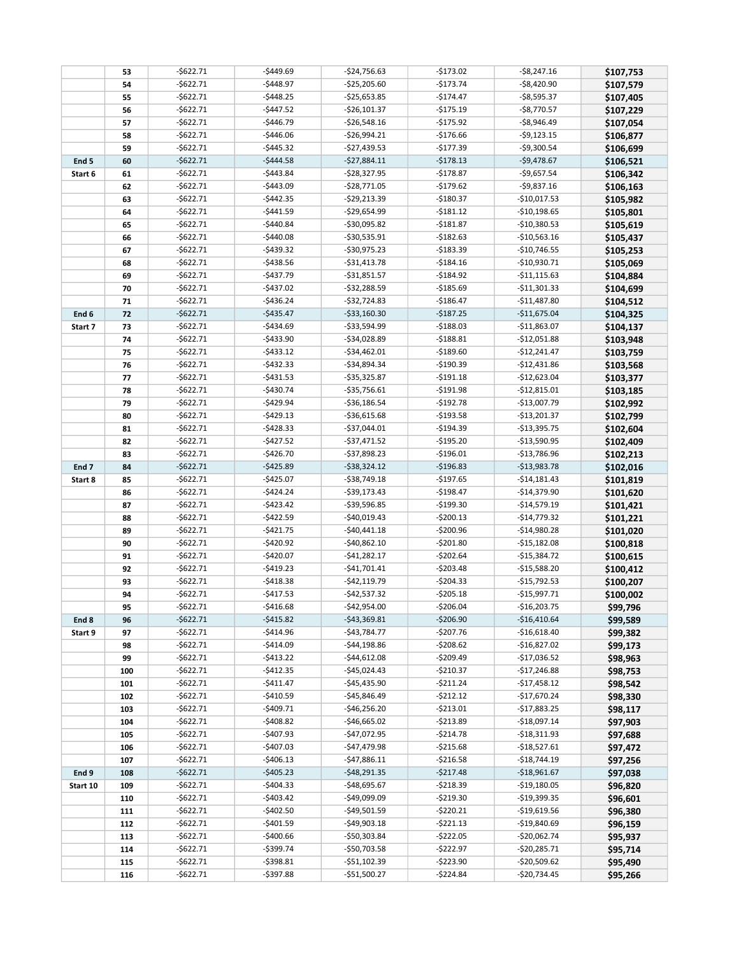|                  | 53  | $-$622.71$   | $-$449.69$   | $-$24,756.63$   | $-5173.02$   | $-$ \$8,247.16 | \$107,753 |
|------------------|-----|--------------|--------------|-----------------|--------------|----------------|-----------|
|                  | 54  | $-$622.71$   | $-$448.97$   | $-$25,205.60$   | $-$173.74$   | $-$8,420.90$   | \$107,579 |
|                  | 55  | $-5622.71$   | $-$448.25$   | $-$25,653.85$   | $-5174.47$   | $-$8,595.37$   | \$107,405 |
|                  | 56  | $-$622.71$   | $-5447.52$   | $-$26,101.37$   | $-5175.19$   | $-$8,770.57$   | \$107,229 |
|                  | 57  | $-$622.71$   | $-$ \$446.79 | $-$ \$26,548.16 | $-$175.92$   | $-$8,946.49$   | \$107,054 |
|                  | 58  | $-5622.71$   | $-5446.06$   | $-526,994.21$   | $-$176.66$   | $-59,123.15$   | \$106,877 |
|                  | 59  | $-5622.71$   | $-$445.32$   | $-$27,439.53$   | $-$177.39$   | $-$9,300.54$   | \$106,699 |
| End <sub>5</sub> | 60  | $-5622.71$   | $-$444.58$   | $-$27,884.11$   | $-5178.13$   | $-$9,478.67$   | \$106,521 |
| Start 6          | 61  | $-$622.71$   | $-5443.84$   | $-$28,327.95$   | $-$178.87$   | $-$9,657.54$   | \$106,342 |
|                  | 62  | $-$622.71$   | $-$443.09$   | $-$28,771.05$   | $-$179.62$   | $-59,837.16$   | \$106,163 |
|                  | 63  | $-$622.71$   | $-5442.35$   | $-529,213.39$   | $-$180.37$   | $-$10,017.53$  | \$105,982 |
|                  | 64  | $-$622.71$   | $-$441.59$   | -\$29,654.99    | $-5181.12$   | $-$10,198.65$  | \$105,801 |
|                  | 65  | $-$622.71$   | $-$440.84$   | -\$30,095.82    | $-5181.87$   | $-$10,380.53$  | \$105,619 |
|                  | 66  | $-$622.71$   | $-$440.08$   | -\$30,535.91    | $-$182.63$   | $-$10,563.16$  | \$105,437 |
|                  | 67  | $-$622.71$   | $-5439.32$   | -\$30,975.23    | $-$183.39$   | $-$10,746.55$  | \$105,253 |
|                  | 68  | $-$622.71$   | $-$438.56$   | $-$ \$31,413.78 | $-$184.16$   | -\$10,930.71   | \$105,069 |
|                  | 69  | $-$622.71$   | $-$437.79$   | $-$31,851.57$   | $-5184.92$   | $-$11,115.63$  | \$104,884 |
|                  | 70  | $-$622.71$   | $-$437.02$   | $-$ \$32,288.59 | $-$185.69$   | $-$11,301.33$  | \$104,699 |
|                  | 71  | $-$622.71$   | $-$436.24$   | $-$32,724.83$   | $-$186.47$   | $-$11,487.80$  | \$104,512 |
| End 6            | 72  | $-$622.71$   | $-$435.47$   | $-533,160.30$   | $-$187.25$   | $-$11,675.04$  | \$104,325 |
| Start 7          | 73  | $-$622.71$   | $-$434.69$   | -\$33,594.99    | $-$188.03$   | $-511,863.07$  | \$104,137 |
|                  | 74  | $-$622.71$   | $-$433.90$   | -\$34,028.89    | $-5188.81$   | $-$12,051.88$  | \$103,948 |
|                  | 75  | $-$622.71$   | $-$433.12$   | $-$34,462.01$   | $-$189.60$   | $-$12,241.47$  | \$103,759 |
|                  | 76  | $-5622.71$   | $-5432.33$   | -\$34,894.34    | $-$190.39$   | $-$12,431.86$  | \$103,568 |
|                  | 77  | $-$622.71$   | $-5431.53$   | $-535,325.87$   | $-$191.18$   | $-$12,623.04$  | \$103,377 |
|                  | 78  | $-$622.71$   | $-$430.74$   | $-$ \$35,756.61 | $-$191.98$   | $-$12,815.01$  | \$103,185 |
|                  | 79  | $-$622.71$   | $-$429.94$   | $-$36,186.54$   | $-$192.78$   | $-$13,007.79$  | \$102,992 |
|                  | 80  | $-5622.71$   | $-5429.13$   | $-$36,615.68$   | $-$193.58$   | $-$13,201.37$  | \$102,799 |
|                  | 81  | $-$622.71$   | $-5428.33$   | $-$37,044.01$   | $-$194.39$   | $-$13,395.75$  | \$102,604 |
|                  | 82  | $-$622.71$   | $-$427.52$   | $-$ \$37,471.52 | $-$195.20$   | $-$13,590.95$  | \$102,409 |
|                  | 83  | $-$622.71$   | $-$426.70$   | $-$ \$37,898.23 | $-$196.01$   | $-$13,786.96$  | \$102,213 |
| End <sub>7</sub> | 84  | $-5622.71$   | $-$425.89$   | $-538,324.12$   | $-$196.83$   | $-$13,983.78$  | \$102,016 |
| Start 8          | 85  | $-$622.71$   | $-$425.07$   | $-$38,749.18$   | $-$197.65$   | $-$14,181.43$  | \$101,819 |
|                  | 86  | $-$622.71$   | $-5424.24$   | $-$39,173.43$   | $-$198.47$   | $-$14,379.90$  | \$101,620 |
|                  | 87  | $-$622.71$   | $-5423.42$   | -\$39,596.85    | $-$199.30$   | $-$14,579.19$  | \$101,421 |
|                  | 88  | $-$622.71$   | $-$422.59$   | $-$40,019.43$   | $-5200.13$   | $-$14,779.32$  | \$101,221 |
|                  | 89  | $-$622.71$   | $-$421.75$   | $-$40,441.18$   | $-$200.96$   | $-$14,980.28$  | \$101,020 |
|                  | 90  | $-$622.71$   | $-$420.92$   | $-$40,862.10$   | $-5201.80$   | $-$15,182.08$  | \$100,818 |
|                  | 91  | $-$622.71$   | $-$420.07$   | $-$41,282.17$   | $-5202.64$   | $-$15,384.72$  | \$100,615 |
|                  | 92  | $-$622.71$   | $-$419.23$   | $-$41,701.41$   | $-5203.48$   | $-$15,588.20$  | \$100,412 |
|                  | 93  | $-$622.71$   | $-5418.38$   | $-$42,119.79$   | $-5204.33$   | $-$15,792.53$  | \$100,207 |
|                  | 94  | $-5622.71$   | $-$417.53$   | $-$ \$42,537.32 | $-$ \$205.18 | $-$15,997.71$  | \$100,002 |
|                  | 95  | $-$622.71$   | $-$416.68$   | $-$42,954.00$   | $-$206.04$   | $-$16,203.75$  | \$99,796  |
| End 8            | 96  | -\$622.71    | $-$ \$415.82 | $-$ \$43,369.81 | $-5206.90$   | $-$16,410.64$  | \$99,589  |
| Start 9          | 97  | -\$622.71    | -\$414.96    | $-$ \$43,784.77 | -\$207.76    | $-$16,618.40$  | \$99,382  |
|                  | 98  | -\$622.71    | $-$414.09$   | $-$ \$44,198.86 | -\$208.62    | $-$16,827.02$  | \$99,173  |
|                  | 99  | -\$622.71    | -\$413.22    | $-$44,612.08$   | $-5209.49$   | $-$17,036.52$  | \$98,963  |
|                  | 100 | -\$622.71    | -\$412.35    | $-$45,024.43$   | $-$210.37$   | $-$17,246.88$  | \$98,753  |
|                  | 101 | -\$622.71    | -\$411.47    | $-$45,435.90$   | $-5211.24$   | $-$17,458.12$  | \$98,542  |
|                  | 102 | -\$622.71    | -\$410.59    | $-$45,846.49$   | $-5212.12$   | $-$17,670.24$  | \$98,330  |
|                  | 103 | -\$622.71    | $-$409.71$   | $-$ \$46,256.20 | $-5213.01$   | $-$17,883.25$  | \$98,117  |
|                  | 104 | -\$622.71    | -\$408.82    | -\$46,665.02    | $-$213.89$   | $-$18,097.14$  | \$97,903  |
|                  | 105 | -\$622.71    | -\$407.93    | -\$47,072.95    | -\$214.78    | $-$18,311.93$  | \$97,688  |
|                  | 106 | -\$622.71    | -\$407.03    | -\$47,479.98    | -\$215.68    | -\$18,527.61   | \$97,472  |
|                  | 107 | -\$622.71    | -\$406.13    | $-$47,886.11$   | $-5216.58$   | $-$18,744.19$  | \$97,256  |
| End 9            | 108 | $-5622.71$   | $-$405.23$   | $-$ \$48,291.35 | $-5217.48$   | $-$18,961.67$  | \$97,038  |
| Start 10         | 109 | -\$622.71    | $-$404.33$   | -\$48,695.67    | $-5218.39$   | $-$19,180.05$  | \$96,820  |
|                  | 110 | -\$622.71    | -\$403.42    | -\$49,099.09    | -\$219.30    | -\$19,399.35   | \$96,601  |
|                  | 111 | -\$622.71    | -\$402.50    | -\$49,501.59    | $-$ \$220.21 | $-$19,619.56$  | \$96,380  |
|                  | 112 | -\$622.71    | -\$401.59    | -\$49,903.18    | $-5221.13$   | $-$19,840.69$  | \$96,159  |
|                  | 113 | -\$622.71    | -\$400.66    | -\$50,303.84    | -\$222.05    | -\$20,062.74   | \$95,937  |
|                  | 114 | -\$622.71    | -\$399.74    | -\$50,703.58    | -\$222.97    | -\$20,285.71   | \$95,714  |
|                  | 115 | -\$622.71    | -\$398.81    | -\$51,102.39    | $-$ \$223.90 | -\$20,509.62   | \$95,490  |
|                  | 116 | $-$ \$622.71 | -\$397.88    | -\$51,500.27    | $-$224.84$   | -\$20,734.45   | \$95,266  |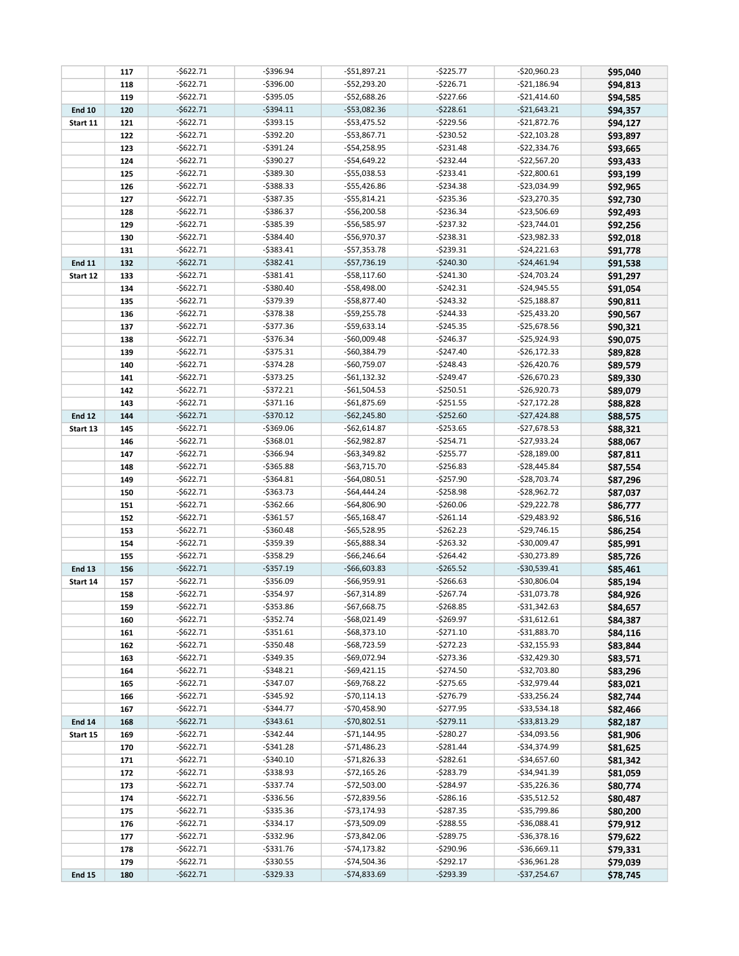|               | 117 | $-5622.71$   | $-5396.94$   | -\$51,897.21    | $-$ \$225.77 | $-520,960.23$   | \$95,040 |
|---------------|-----|--------------|--------------|-----------------|--------------|-----------------|----------|
|               | 118 | $-$622.71$   | $-$396.00$   | -\$52,293.20    | $-5226.71$   | $-521,186.94$   | \$94,813 |
|               | 119 | $-5622.71$   | $-$395.05$   | $-$52,688.26$   | $-$227.66$   | $-$21,414.60$   | \$94,585 |
| <b>End 10</b> | 120 | $-$622.71$   | $-5394.11$   | $-$53,082.36$   | $-5228.61$   | $-$21,643.21$   | \$94,357 |
| Start 11      | 121 | $-$ \$622.71 | $-5393.15$   | $-$ \$53,475.52 | $-$ \$229.56 | $-$21,872.76$   | \$94,127 |
|               | 122 | $-5622.71$   | $-5392.20$   | $-$53,867.71$   | $-5230.52$   | $-$22,103.28$   | \$93,897 |
|               | 123 | $-$ \$622.71 | $-5391.24$   | $-$54,258.95$   | $-5231.48$   | $-$22,334.76$   | \$93,665 |
|               | 124 | $-5622.71$   | $-$390.27$   | $-$54,649.22$   | $-5232.44$   | $-$22,567.20$   | \$93,433 |
|               | 125 | $-5622.71$   | $-5389.30$   | -\$55,038.53    | $-5233.41$   | $-$22,800.61$   | \$93,199 |
|               | 126 | $-5622.71$   | $-5388.33$   | $-$55,426.86$   | $-5234.38$   | -\$23,034.99    | \$92,965 |
|               | 127 | $-$622.71$   | $-5387.35$   | $-$ \$55,814.21 | $-5235.36$   | $-$23,270.35$   | \$92,730 |
|               | 128 | $-5622.71$   | $-$386.37$   | -\$56,200.58    | $-5236.34$   | $-$23,506.69$   | \$92,493 |
|               | 129 | $-5622.71$   | $-5385.39$   | -\$56,585.97    | $-5237.32$   | $-$23,744.01$   | \$92,256 |
|               | 130 | $-$622.71$   | $-5384.40$   | -\$56,970.37    | $-5238.31$   | $-523,982.33$   | \$92,018 |
|               | 131 | $-$622.71$   | $-5383.41$   | -\$57,353.78    | $-5239.31$   | $-524,221.63$   | \$91,778 |
| <b>End 11</b> | 132 | $-5622.71$   | $-5382.41$   | $-$57,736.19$   | $-$240.30$   | $-$24,461.94$   | \$91,538 |
| Start 12      | 133 | $-$622.71$   | $-5381.41$   | $-558,117.60$   | $-5241.30$   | $-$24,703.24$   | \$91,297 |
|               | 134 | $-$622.71$   | $-5380.40$   | -\$58,498.00    | $-5242.31$   | $-$24,945.55$   | \$91,054 |
|               | 135 | $-5622.71$   | $-5379.39$   | -\$58,877.40    | $-5243.32$   | $-525,188.87$   | \$90,811 |
|               | 136 | $-5622.71$   | $-5378.38$   | $-$59,255.78$   | $-5244.33$   | $-$25,433.20$   | \$90,567 |
|               | 137 | $-5622.71$   | $-5377.36$   | $-$59,633.14$   | $-$245.35$   | $-$25,678.56$   | \$90,321 |
|               | 138 | $-$622.71$   | $-5376.34$   | -\$60,009.48    | $-$246.37$   | $-$25,924.93$   | \$90,075 |
|               | 139 | $-5622.71$   | $-5375.31$   | -\$60,384.79    | $-$247.40$   | $-$26,172.33$   | \$89,828 |
|               | 140 | $-5622.71$   | $-5374.28$   | -\$60,759.07    | $-5248.43$   | $-$26,420.76$   | \$89,579 |
|               | 141 | $-$ \$622.71 | $-5373.25$   | $-561,132.32$   | $-$249.47$   | $-$26,670.23$   | \$89,330 |
|               | 142 | $-5622.71$   | $-5372.21$   | $-$61,504.53$   | $-5250.51$   | $-$26,920.73$   | \$89,079 |
|               | 143 | $-5622.71$   | $-5371.16$   | $-$61,875.69$   | $-5251.55$   | $-$27,172.28$   | \$88,828 |
| <b>End 12</b> | 144 | $-$622.71$   | $-$370.12$   | $-$62,245.80$   | $-$252.60$   | $-$27,424.88$   | \$88,575 |
| Start 13      | 145 | $-5622.71$   | $-$369.06$   | $-$62,614.87$   | $-$253.65$   | $-$27,678.53$   | \$88,321 |
|               | 146 | $-$ \$622.71 | $-$368.01$   | $-$62,982.87$   | $-$ \$254.71 | $-$27,933.24$   | \$88,067 |
|               | 147 | $-5622.71$   | $-$366.94$   | $-$63,349.82$   | $-$255.77$   | $-528,189.00$   | \$87,811 |
|               | 148 | $-5622.71$   | $-5365.88$   | -\$63,715.70    | $-$256.83$   | $-$28,445.84$   | \$87,554 |
|               | 149 | $-5622.71$   | $-$364.81$   | $-$64,080.51$   | $-$257.90$   | $-$28,703.74$   | \$87,296 |
|               | 150 | $-$622.71$   | $-5363.73$   | $-$64,444.24$   | $-5258.98$   | $-528,962.72$   | \$87,037 |
|               | 151 | $-$622.71$   | $-5362.66$   | -\$64,806.90    | $-$260.06$   | $-529,222.78$   | \$86,777 |
|               | 152 | $-$622.71$   | $-5361.57$   | $-$65,168.47$   | $-5261.14$   | $-$29,483.92$   | \$86,516 |
|               | 153 | $-5622.71$   | $-5360.48$   | $-$65,528.95$   | $-5262.23$   | $-$29,746.15$   | \$86,254 |
|               | 154 | $-5622.71$   | $-$359.39$   | $-$65,888.34$   | $-5263.32$   | -\$30,009.47    | \$85,991 |
|               | 155 | $-$ \$622.71 | $-5358.29$   | $-$66,246.64$   | $-5264.42$   | -\$30,273.89    | \$85,726 |
| <b>End 13</b> | 156 | $-5622.71$   | $-5357.19$   | $-$66,603.83$   | $-5265.52$   | $-$30,539.41$   | \$85,461 |
| Start 14      | 157 | $-$ \$622.71 | $-$356.09$   | -\$66,959.91    | $-$266.63$   | $-530,806.04$   | \$85,194 |
|               | 158 | $-$ \$622.71 | $-$354.97$   | $-$67,314.89$   | $-$267.74$   | -\$31,073.78    | \$84,926 |
|               | 159 | $-$622.71$   | $-5353.86$   | $-$67,668.75$   | $-5268.85$   | $-531,342.63$   | \$84,657 |
|               | 160 | -\$622.71    | -\$352.74    | -\$68,021.49    | -\$269.97    | $-531,612.61$   | \$84,387 |
|               | 161 | $-$ \$622.71 | -\$351.61    | $-568,373.10$   | $-5271.10$   | -\$31,883.70    | \$84,116 |
|               | 162 | $-$ \$622.71 | $-$ \$350.48 | -\$68,723.59    | $-5272.23$   | -\$32,155.93    | \$83,844 |
|               | 163 | $-$ \$622.71 | -\$349.35    | -\$69,072.94    | $-5273.36$   | $-$ \$32,429.30 | \$83,571 |
|               | 164 | $-$ \$622.71 | $-5348.21$   | -\$69,421.15    | $-$274.50$   | -\$32,703.80    | \$83,296 |
|               | 165 | $-$ \$622.71 | $-$347.07$   | -\$69,768.22    | $-$ \$275.65 | -\$32,979.44    | \$83,021 |
|               | 166 | $-$ \$622.71 | -\$345.92    | -\$70,114.13    | $-5276.79$   | -\$33,256.24    | \$82,744 |
|               | 167 | -\$622.71    | -\$344.77    | $-$70,458.90$   | $-$277.95$   | $-533,534.18$   | \$82,466 |
| <b>End 14</b> | 168 | $-$622.71$   | $-$ \$343.61 | $-570,802.51$   | $-5279.11$   | $-$ \$33,813.29 | \$82,187 |
| Start 15      | 169 | $-$ \$622.71 | $-$ \$342.44 | -\$71,144.95    | $-5280.27$   | $-$ \$34,093.56 | \$81,906 |
|               | 170 | $-$ \$622.71 | $-5341.28$   | -\$71,486.23    | $-5281.44$   | -\$34,374.99    | \$81,625 |
|               | 171 | $-$ \$622.71 | $-$ \$340.10 | -\$71,826.33    | $-5282.61$   | $-$ \$34,657.60 | \$81,342 |
|               | 172 | $-$ \$622.71 | -\$338.93    | -\$72,165.26    | $-5283.79$   | -\$34,941.39    | \$81,059 |
|               | 173 | $-$ \$622.71 | $-$ \$337.74 | -\$72,503.00    | $-5284.97$   | $-$ \$35,226.36 | \$80,774 |
|               | 174 | $-$ \$622.71 | -\$336.56    | -\$72,839.56    | $-5286.16$   | $-$ \$35,512.52 | \$80,487 |
|               | 175 | $-$ \$622.71 | -\$335.36    | -\$73,174.93    | $-5287.35$   | -\$35,799.86    | \$80,200 |
|               | 176 | $-$ \$622.71 | -\$334.17    | -\$73,509.09    | $-5288.55$   | -\$36,088.41    | \$79,912 |
|               | 177 | $-$ \$622.71 | $-5332.96$   | -\$73,842.06    | $-5289.75$   | $-536,378.16$   | \$79,622 |
|               | 178 | $-$ \$622.71 | -\$331.76    | -\$74,173.82    | -\$290.96    | -\$36,669.11    | \$79,331 |
|               | 179 | $-$ \$622.71 | -\$330.55    | -\$74,504.36    | -\$292.17    | $-$ \$36,961.28 | \$79,039 |
| <b>End 15</b> | 180 | $-5622.71$   | $-5329.33$   | $-574,833.69$   | $-5293.39$   | $-537,254.67$   | \$78,745 |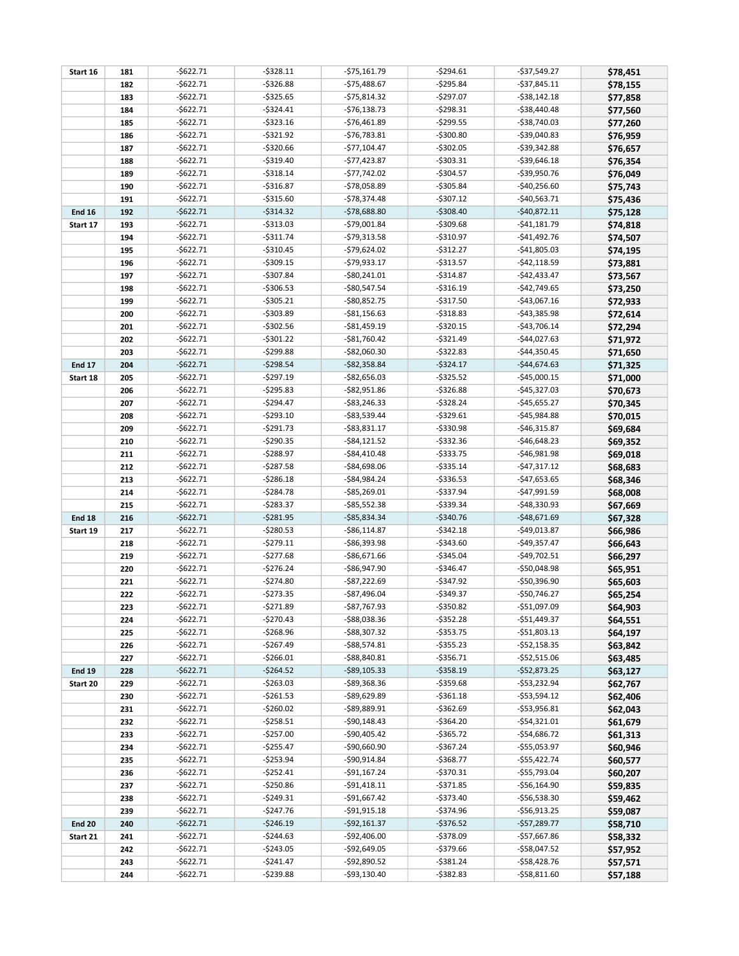| Start 16      | 181 | $-$ \$622.71 | -\$328.11    | $-$75,161.79$   | $-5294.61$   | $-537,549.27$   | \$78,451 |
|---------------|-----|--------------|--------------|-----------------|--------------|-----------------|----------|
|               | 182 | $-$622.71$   | $-5326.88$   | $-$75,488.67$   | $-5295.84$   | $-537,845.11$   | \$78,155 |
|               | 183 | $-$622.71$   | $-5325.65$   | $-$75,814.32$   | $-5297.07$   | $-538,142.18$   | \$77,858 |
|               | 184 | $-$622.71$   | $-$324.41$   | $-$76,138.73$   | $-5298.31$   | $-$38,440.48$   | \$77,560 |
|               | 185 | $-$622.71$   | $-5323.16$   | $-$76,461.89$   | $-5299.55$   | -\$38,740.03    | \$77,260 |
|               | 186 | $-$622.71$   | $-5321.92$   | $-$76,783.81$   | $-$300.80$   | $-$39,040.83$   | \$76,959 |
|               | 187 | $-$622.71$   | $-5320.66$   | $-$77,104.47$   | $-5302.05$   | $-$ \$39,342.88 | \$76,657 |
|               | 188 | $-$622.71$   | $-$319.40$   | $-$77,423.87$   | $-5303.31$   | $-$ \$39,646.18 | \$76,354 |
|               | 189 | $-$622.71$   | $-$318.14$   | $-$77,742.02$   | $-$304.57$   | $-$39,950.76$   | \$76,049 |
|               | 190 | $-$622.71$   | $-5316.87$   | -\$78,058.89    | $-5305.84$   | $-$40,256.60$   | \$75,743 |
|               | 191 | $-$622.71$   | $-5315.60$   | $-$78,374.48$   | $-5307.12$   | $-$40,563.71$   | \$75,436 |
| <b>End 16</b> | 192 | $-5622.71$   | $-$314.32$   | -\$78,688.80    | $-5308.40$   | $-$40,872.11$   | \$75,128 |
| Start 17      | 193 | $-$ \$622.71 | $-$313.03$   | -\$79,001.84    | $-5309.68$   | $-$41,181.79$   | \$74,818 |
|               | 194 | $-$622.71$   | $-5311.74$   | $-579,313.58$   | $-5310.97$   | $-$41,492.76$   | \$74,507 |
|               | 195 | $-$622.71$   | $-$310.45$   | $-$79,624.02$   | $-5312.27$   | $-$41,805.03$   | \$74,195 |
|               | 196 | $-$622.71$   | $-$309.15$   | -\$79,933.17    | $-5313.57$   | $-$42,118.59$   | \$73,881 |
|               | 197 | $-$622.71$   | $-$307.84$   | $-$ \$80,241.01 | $-5314.87$   | $-$42,433.47$   | \$73,567 |
|               | 198 | $-$622.71$   | $-$306.53$   | -\$80,547.54    | $-5316.19$   | $-$42,749.65$   | \$73,250 |
|               | 199 | $-$622.71$   | $-$ \$305.21 | $-$80,852.75$   | $-5317.50$   | $-$43,067.16$   | \$72,933 |
|               | 200 | $-$622.71$   | $-$303.89$   | $-$ \$81,156.63 | $-5318.83$   | $-$43,385.98$   | \$72,614 |
|               | 201 | $-$622.71$   | $-$302.56$   | $-$ \$81,459.19 | $-$ \$320.15 | $-$43,706.14$   | \$72,294 |
|               | 202 | $-$622.71$   | $-5301.22$   | $-$ \$81,760.42 | $-5321.49$   | $-$44,027.63$   | \$71,972 |
|               | 203 | $-$622.71$   | $-5299.88$   | -\$82,060.30    | $-5322.83$   | $-$44,350.45$   | \$71,650 |
| <b>End 17</b> | 204 | $-5622.71$   | $-5298.54$   | $-$82,358.84$   | $-5324.17$   | $-$44,674.63$   | \$71,325 |
| Start 18      | 205 | $-$ \$622.71 | $-5297.19$   | -\$82,656.03    | $-$ \$325.52 | $-$45,000.15$   | \$71,000 |
|               | 206 | -\$622.71    | $-5295.83$   | -\$82,951.86    | $-5326.88$   | $-$45,327.03$   | \$70,673 |
|               | 207 | $-$622.71$   | $-$294.47$   | $-$ \$83,246.33 | $-5328.24$   | $-$45,655.27$   | \$70,345 |
|               | 208 | $-5622.71$   | $-5293.10$   | -\$83,539.44    | $-5329.61$   | $-$45,984.88$   | \$70,015 |
|               | 209 | $-$622.71$   | $-5291.73$   | $-$ \$83,831.17 | $-5330.98$   | $-$46,315.87$   | \$69,684 |
|               | 210 | $-$622.71$   | $-$290.35$   | $-$ \$84,121.52 | $-5332.36$   | $-$46,648.23$   | \$69,352 |
|               | 211 | $-$622.71$   | $-5288.97$   | $-$ \$84,410.48 | $-$333.75$   | $-$46,981.98$   | \$69,018 |
|               | 212 | $-$622.71$   | $-5287.58$   | -\$84,698.06    | $-5335.14$   | $-$47,317.12$   | \$68,683 |
|               | 213 | $-$622.71$   | $-5286.18$   | -\$84,984.24    | $-$ \$336.53 | $-$47,653.65$   | \$68,346 |
|               | 214 | $-$622.71$   | $-$284.78$   | -\$85,269.01    | $-5337.94$   | $-$47,991.59$   | \$68,008 |
|               | 215 | $-$622.71$   | $-5283.37$   | $-$ \$85,552.38 | $-$339.34$   | $-$48,330.93$   | \$67,669 |
| <b>End 18</b> | 216 | $-5622.71$   | $-5281.95$   | -\$85,834.34    | $-$340.76$   | $-$ \$48,671.69 | \$67,328 |
| Start 19      | 217 | $-$622.71$   | $-5280.53$   | $-$ \$86,114.87 | $-5342.18$   | -\$49,013.87    | \$66,986 |
|               | 218 | $-$622.71$   | $-5279.11$   | -\$86,393.98    | $-$ \$343.60 | $-$49,357.47$   | \$66,643 |
|               | 219 | $-$622.71$   | $-$277.68$   | $-$86,671.66$   | $-$345.04$   | $-$49,702.51$   | \$66,297 |
|               | 220 | $-$622.71$   | $-5276.24$   | -\$86,947.90    | $-$ \$346.47 | -\$50,048.98    | \$65,951 |
|               | 221 | $-$622.71$   | $-5274.80$   | $-$ \$87,222.69 | $-5347.92$   | $-$50,396.90$   | \$65,603 |
|               | 222 | $-5622.71$   | -\$273.35    | -\$87,496.04    | $-5349.37$   | $-$50,746.27$   | \$65,254 |
|               | 223 | $-$622.71$   | $-$271.89$   | $-$87,767.93$   | $- $350.82$  | $-$51,097.09$   | \$64,903 |
|               | 224 | -\$622.71    | -\$270.43    | -\$88,038.36    | -\$352.28    | $-$51,449.37$   | \$64,551 |
|               | 225 | -\$622.71    | $-5268.96$   | -\$88,307.32    | $-$ \$353.75 | $-$51,803.13$   | \$64,197 |
|               | 226 | -\$622.71    | $-$267.49$   | $-$ \$88,574.81 | -\$355.23    | $-$52,158.35$   | \$63,842 |
|               | 227 | -\$622.71    | $-5266.01$   | $-$ \$88,840.81 | $-$356.71$   | $-$52,515.06$   | \$63,485 |
| <b>End 19</b> | 228 | $-5622.71$   | $-$264.52$   | -\$89,105.33    | $-5358.19$   | $-$52,873.25$   | \$63,127 |
| Start 20      | 229 | -\$622.71    | $-5263.03$   | -\$89,368.36    | $-5359.68$   | -\$53,232.94    | \$62,767 |
|               | 230 | -\$622.71    | -\$261.53    | -\$89,629.89    | $-5361.18$   | -\$53,594.12    | \$62,406 |
|               | 231 | -\$622.71    | -\$260.02    | $-$ \$89,889.91 | $-5362.69$   | -\$53,956.81    | \$62,043 |
|               | 232 | -\$622.71    | -\$258.51    | $-$90,148.43$   | $-$ \$364.20 | $-$54,321.01$   | \$61,679 |
|               | 233 | $-$ \$622.71 | $-$257.00$   | $-$90,405.42$   | -\$365.72    | -\$54,686.72    | \$61,313 |
|               | 234 | -\$622.71    | -\$255.47    | -\$90,660.90    | -\$367.24    | -\$55,053.97    | \$60,946 |
|               | 235 | -\$622.71    | -\$253.94    | -\$90,914.84    | $-$ \$368.77 | $-$55,422.74$   | \$60,577 |
|               | 236 | $-$ \$622.71 | $-$ \$252.41 | -\$91,167.24    | $-5370.31$   | $-$55,793.04$   | \$60,207 |
|               | 237 | -\$622.71    | $-$250.86$   | $-591,418.11$   | $-5371.85$   | $-$56,164.90$   | \$59,835 |
|               | 238 | -\$622.71    | -\$249.31    | -\$91,667.42    | $-$ \$373.40 | -\$56,538.30    | \$59,462 |
|               | 239 | -\$622.71    | -\$247.76    | $-$ \$91,915.18 | $-$ \$374.96 | -\$56,913.25    | \$59,087 |
| <b>End 20</b> | 240 | $-5622.71$   | $-5246.19$   | $-$ \$92,161.37 | $-$ \$376.52 | -\$57,289.77    | \$58,710 |
| Start 21      | 241 | -\$622.71    | $-$244.63$   | -\$92,406.00    | $-5378.09$   | -\$57,667.86    | \$58,332 |
|               | 242 | -\$622.71    | $-$ \$243.05 | -\$92,649.05    | -\$379.66    | -\$58,047.52    | \$57,952 |
|               | 243 | -\$622.71    | -\$241.47    | -\$92,890.52    | -\$381.24    | -\$58,428.76    | \$57,571 |
|               | 244 | $-$ \$622.71 | -\$239.88    | $-$ \$93,130.40 | $-5382.83$   | $-$ \$58,811.60 | \$57,188 |
|               |     |              |              |                 |              |                 |          |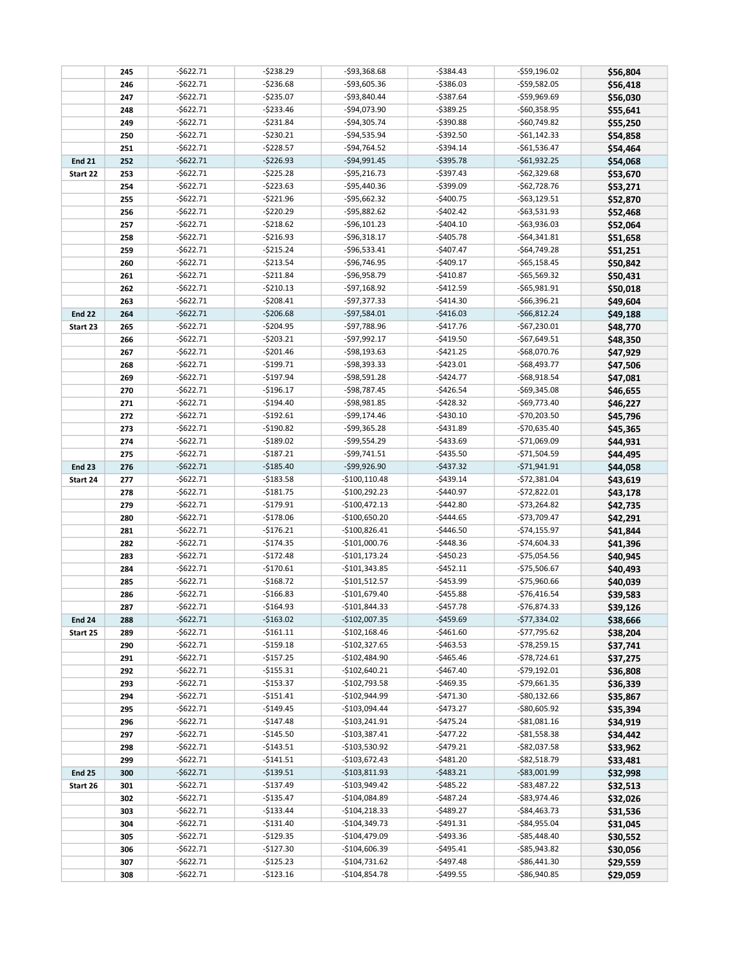|               | 245 | $-$622.71$ | $-5238.29$ | $-$93,368.68$   | $-5384.43$   | $-$59,196.02$   | \$56,804 |
|---------------|-----|------------|------------|-----------------|--------------|-----------------|----------|
|               | 246 | $-$622.71$ | $-5236.68$ | -\$93,605.36    | -\$386.03    | $-$59,582.05$   | \$56,418 |
|               | 247 | $-5622.71$ | $-$235.07$ | -\$93,840.44    | $-5387.64$   | $-$59,969.69$   | \$56,030 |
|               | 248 | $-$622.71$ | $-5233.46$ | -\$94,073.90    | $-5389.25$   | $-$60,358.95$   | \$55,641 |
|               | 249 | $-$622.71$ | $-5231.84$ | -\$94,305.74    | $-5390.88$   | $-$60,749.82$   | \$55,250 |
|               | 250 | $-$622.71$ | $-5230.21$ | -\$94,535.94    | $-$ \$392.50 | $-$61,142.33$   | \$54,858 |
|               | 251 | $-$622.71$ | $-5228.57$ | $-$94,764.52$   | $-5394.14$   | $-$61,536.47$   | \$54,464 |
| <b>End 21</b> | 252 | $-5622.71$ | $-5226.93$ | $-$94,991.45$   | $-5395.78$   | $-561,932.25$   | \$54,068 |
| Start 22      | 253 | $-$622.71$ | $-$225.28$ | $-$ \$95,216.73 | $-5397.43$   | $-$62,329.68$   | \$53,670 |
|               | 254 | $-$622.71$ | $-$223.63$ | -\$95,440.36    | $-5399.09$   | $-$62,728.76$   | \$53,271 |
|               | 255 | $-$622.71$ | $-5221.96$ | $-$ \$95,662.32 | $-$400.75$   | $-$ \$63,129.51 | \$52,870 |
|               | 256 | $-$622.71$ | $-5220.29$ | $-$ \$95,882.62 | $-$402.42$   | $-$63,531.93$   | \$52,468 |
|               | 257 | $-$622.71$ | $-5218.62$ | $-$ \$96,101.23 | $-$404.10$   | $-$63,936.03$   | \$52,064 |
|               | 258 | $-$622.71$ | $-5216.93$ | $-$ \$96,318.17 | $-$405.78$   | $-$64,341.81$   | \$51,658 |
|               | 259 | $-$622.71$ | $-5215.24$ | -\$96,533.41    | $-$407.47$   | $-$64,749.28$   | \$51,251 |
|               | 260 | $-$622.71$ | $-$213.54$ | -\$96,746.95    | $-$409.17$   | $-$65,158.45$   | \$50,842 |
|               | 261 | $-$622.71$ | $-5211.84$ | -\$96,958.79    | $-$410.87$   | $-565,569.32$   | \$50,431 |
|               | 262 | $-$622.71$ | $-$210.13$ | -\$97,168.92    | $-$412.59$   | $-$65,981.91$   | \$50,018 |
|               | 263 | $-$622.71$ | $-5208.41$ | $-$97,377.33$   | $-$414.30$   | $-566,396.21$   | \$49,604 |
| <b>End 22</b> | 264 | $-5622.71$ | $-5206.68$ | $-$97,584.01$   | $-5416.03$   | $-566,812.24$   | \$49,188 |
| Start 23      | 265 | $-$622.71$ | $-$204.95$ | -\$97,788.96    | $-$417.76$   | $-567,230.01$   | \$48,770 |
|               | 266 | $-$622.71$ | $-5203.21$ | -\$97,992.17    | $-$419.50$   | $-$67,649.51$   | \$48,350 |
|               | 267 | $-$622.71$ | $-5201.46$ | -\$98,193.63    | $-5421.25$   | -\$68,070.76    | \$47,929 |
|               | 268 | $-$622.71$ | $-$199.71$ | $-598,393.33$   | $-5423.01$   | $-$68,493.77$   | \$47,506 |
|               | 269 | $-$622.71$ | $-$197.94$ | -\$98,591.28    | $-$424.77$   | $-$68,918.54$   | \$47,081 |
|               | 270 | $-$622.71$ | $-$196.17$ | $-$98,787.45$   | $-$426.54$   | $-$69,345.08$   | \$46,655 |
|               | 271 | $-$622.71$ | $-$194.40$ | $-598,981.85$   | $-5428.32$   | $-$69,773.40$   | \$46,227 |
|               | 272 | $-$622.71$ | $-$192.61$ | -\$99,174.46    | $-$430.10$   | $-$70,203.50$   | \$45,796 |
|               | 273 | $-$622.71$ | $-$190.82$ | -\$99,365.28    | $-5431.89$   | -\$70,635.40    | \$45,365 |
|               | 274 | $-$622.71$ | $-$189.02$ | -\$99,554.29    | $-$433.69$   | -\$71,069.09    | \$44,931 |
|               | 275 | $-$622.71$ | $-5187.21$ | -\$99,741.51    | $-$435.50$   | $-$71,504.59$   | \$44,495 |
| <b>End 23</b> | 276 | $-5622.71$ | $-$185.40$ | -\$99,926.90    | $-5437.32$   | $-571,941.91$   | \$44,058 |
| Start 24      | 277 | $-$622.71$ | $-$183.58$ | $-$100,110.48$  | $-$439.14$   | $-$72,381.04$   | \$43,619 |
|               | 278 | $-$622.71$ | $-$181.75$ | $-$100,292.23$  | $-$440.97$   | $-572,822.01$   | \$43,178 |
|               | 279 | $-$622.71$ | $-$179.91$ | $-$100,472.13$  | $-$442.80$   | $-$73,264.82$   | \$42,735 |
|               | 280 | $-$622.71$ | $-$178.06$ | $-$100,650.20$  | $-$444.65$   | -\$73,709.47    | \$42,291 |
|               | 281 | $-$622.71$ | $-$176.21$ | $-$100,826.41$  | $-$446.50$   | $-$74,155.97$   | \$41,844 |
|               | 282 | $-$622.71$ | $-$174.35$ | $-$101,000.76$  | $-$448.36$   | $-$74,604.33$   | \$41,396 |
|               | 283 | $-$622.71$ | $-5172.48$ | $-$101,173.24$  | $-$450.23$   | $-$75,054.56$   | \$40,945 |
|               | 284 | $-$622.71$ | $-$170.61$ | $-$101,343.85$  | $-5452.11$   | $-$75,506.67$   | \$40,493 |
|               | 285 | $-$622.71$ | $-$168.72$ | $-$101,512.57$  | $-$453.99$   | $-$75,960.66$   | \$40,039 |
|               | 286 | $-$622.71$ | $-$166.83$ | $-$101,679.40$  | $-$ \$455.88 | $-$76,416.54$   | \$39,583 |
|               | 287 | $-$622.71$ | $-$164.93$ | $-$101,844.33$  | -\$457.78    | $-$76,874.33$   | \$39,126 |
| <b>End 24</b> | 288 | -\$622.71  | $-$163.02$ | $-$102,007.35$  | $-$459.69$   | $-$77,334.02$   | \$38,666 |
| Start 25      | 289 | -\$622.71  | $-$161.11$ | $-$102,168.46$  | $-5461.60$   | $-$77,795.62$   | \$38,204 |
|               | 290 | -\$622.71  | -\$159.18  | $-$102,327.65$  | $-$463.53$   | -\$78,259.15    | \$37,741 |
|               | 291 | -\$622.71  | -\$157.25  | -\$102,484.90   | -\$465.46    | -\$78,724.61    | \$37,275 |
|               | 292 | -\$622.71  | -\$155.31  | $-$102,640.21$  | -\$467.40    | -\$79,192.01    | \$36,808 |
|               | 293 | -\$622.71  | $-$153.37$ | $-$102,793.58$  | $-$ \$469.35 | $-$79,661.35$   | \$36,339 |
|               | 294 | -\$622.71  | -\$151.41  | -\$102,944.99   | -\$471.30    | -\$80,132.66    | \$35,867 |
|               | 295 | -\$622.71  | -\$149.45  | -\$103,094.44   | -\$473.27    | $-$80,605.92$   | \$35,394 |
|               | 296 | -\$622.71  | -\$147.48  | $-$103,241.91$  | $-$ \$475.24 | $-$ \$81,081.16 | \$34,919 |
|               | 297 | -\$622.71  | $-$145.50$ | $-$103,387.41$  | -\$477.22    | $-$ \$81,558.38 | \$34,442 |
|               | 298 | -\$622.71  | -\$143.51  | -\$103,530.92   | -\$479.21    | -\$82,037.58    | \$33,962 |
|               | 299 | -\$622.71  | -\$141.51  | $-$103,672.43$  | $-5481.20$   | -\$82,518.79    | \$33,481 |
| <b>End 25</b> | 300 | $-5622.71$ | $-$139.51$ | $-$103,811.93$  | $-5483.21$   | $-$ \$83,001.99 | \$32,998 |
| Start 26      | 301 | -\$622.71  | -\$137.49  | -\$103,949.42   | -\$485.22    | -\$83,487.22    | \$32,513 |
|               | 302 | -\$622.71  | $-$135.47$ | -\$104,084.89   | -\$487.24    | -\$83,974.46    | \$32,026 |
|               | 303 | -\$622.71  | -\$133.44  | $-$104,218.33$  | $-5489.27$   | -\$84,463.73    | \$31,536 |
|               | 304 | -\$622.71  | -\$131.40  | $-$104,349.73$  | -\$491.31    | -\$84,955.04    | \$31,045 |
|               | 305 | -\$622.71  | $-$129.35$ | -\$104,479.09   | -\$493.36    | -\$85,448.40    | \$30,552 |
|               | 306 | -\$622.71  | -\$127.30  | $-$104,606.39$  | -\$495.41    | -\$85,943.82    | \$30,056 |
|               | 307 | -\$622.71  | -\$125.23  | -\$104,731.62   | -\$497.48    | -\$86,441.30    | \$29,559 |
|               | 308 | -\$622.71  | $-$123.16$ | $-$104,854.78$  | -\$499.55    | -\$86,940.85    | \$29,059 |